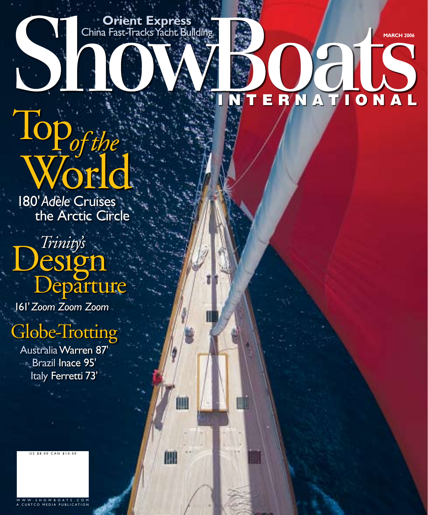**March 2006**

AL

N

 $\bullet$ 

ERNATI

NТ

# Top<sup>1</sup> *of the*  World

**Orient Express** China Fast-Tracks Yacht Building

圃

IIII

180' *Adèle* Cruises the Arctic Circle

# *Trinity's*<br>CSIgn<br>Departure

161' *Zoom Zoom Zoom*

## Globe-Trotting

AustraliaWarren 87' Brazil Inace 95' Italy Ferretti 73'

U S \$ 8.00 C A N \$ 10.00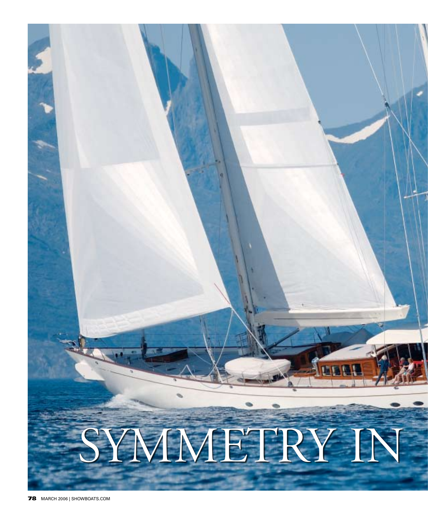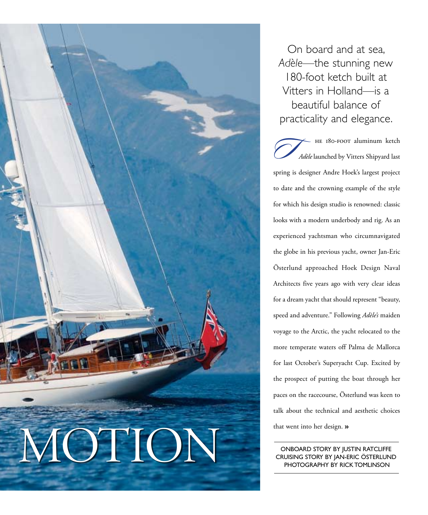

On board and at sea, *Adèle*—the stunning new 180-foot ketch built at Vitters in Holland—is a beautiful balance of practicality and elegance.

 he 180-foot aluminum ketch *Adèle* launched by Vitters Shipyard last spring is designer Andre Hoek's largest project to date and the crowning example of the style for which his design studio is renowned: classic looks with a modern underbody and rig. As an experienced yachtsman who circumnavigated the globe in his previous yacht, owner Jan-Eric Österlund approached Hoek Design Naval Architects five years ago with very clear ideas for a dream yacht that should represent "beauty, speed and adventure." Following *Adèle's* maiden voyage to the Arctic, the yacht relocated to the more temperate waters off Palma de Mallorca for last October's Superyacht Cup. Excited by the prospect of putting the boat through her paces on the racecourse, Österlund was keen to talk about the technical and aesthetic choices that went into her design. **» T**

Onboard Story by Justin Ratcliffe PHOTOGRAPHY BY RICK TOMLINSON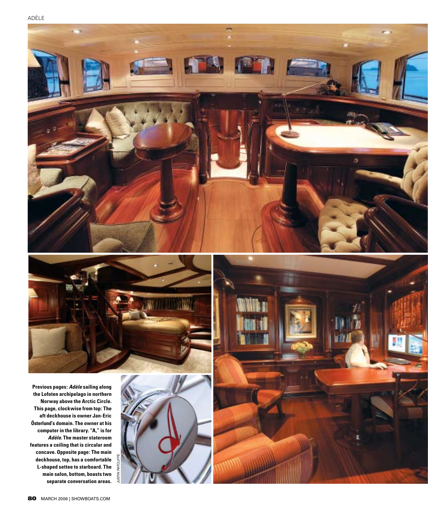





**Previous pages:** *Adèle* **sailing along the Lofoten archipelago in northern Norway above the Arctic Circle. This page, clockwise from top: The aft deckhouse is owner Jan-Eric Österlund's domain. The owner at his computer in the library. "A," is for**  *Adèle.* **The master stateroom features a ceiling that is circular and concave. Opposite page: The main deckhouse, top, has a comfortable L-shaped settee to starboard. The main salon, bottom, boasts two separate conversation areas.**



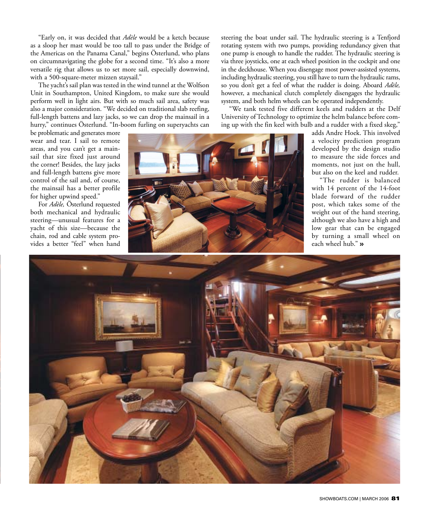"Early on, it was decided that *Adèle* would be a ketch because as a sloop her mast would be too tall to pass under the Bridge of the Americas on the Panama Canal," begins Österlund, who plans on circumnavigating the globe for a second time. "It's also a more versatile rig that allows us to set more sail, especially downwind, with a 500-square-meter mizzen staysail."

The yacht's sail plan was tested in the wind tunnel at the Wolfson Unit in Southampton, United Kingdom, to make sure she would perform well in light airs. But with so much sail area, safety was also a major consideration. "We decided on traditional slab reefing, full-length battens and lazy jacks, so we can drop the mainsail in a hurry," continues Österlund. "In-boom furling on superyachts can steering the boat under sail. The hydraulic steering is a Tenfjord rotating system with two pumps, providing redundancy given that one pump is enough to handle the rudder. The hydraulic steering is via three joysticks, one at each wheel position in the cockpit and one in the deckhouse. When you disengage most power-assisted systems, including hydraulic steering, you still have to turn the hydraulic rams, so you don't get a feel of what the rudder is doing. Aboard *Adèle,*  however, a mechanical clutch completely disengages the hydraulic system, and both helm wheels can be operated independently.

"We tank tested five different keels and rudders at the Delf University of Technology to optimize the helm balance before coming up with the fin keel with bulb and a rudder with a fixed skeg,"

be problematic and generates more wear and tear. I sail to remote areas, and you can't get a mainsail that size fixed just around the corner! Besides, the lazy jacks and full-length battens give more control of the sail and, of course, the mainsail has a better profile for higher upwind speed."

For *Adèle,* Österlund requested both mechanical and hydraulic steering—unusual features for a yacht of this size—because the chain, rod and cable system provides a better "feel" when hand



adds Andre Hoek. This involved a velocity prediction program developed by the design studio to measure the side forces and moments, not just on the hull, but also on the keel and rudder.

"The rudder is balanced with 14 percent of the 14-foot blade forward of the rudder post, which takes some of the weight out of the hand steering, although we also have a high and low gear that can be engaged by turning a small wheel on each wheel hub." **»**

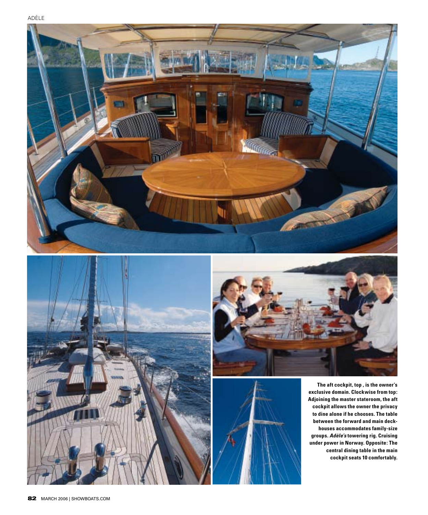







**The aft cockpit, top , is the owner's exclusive domain. Clockwise from top: Adjoining the master stateroom, the aft cockpit allows the owner the privacy to dine alone if he chooses. The table between the forward and main deckhouses accommodates family-size groups.** *Adèle's* **towering rig. Cruising under power in Norway. Opposite: The central dining table in the main cockpit seats 10 comfortably.**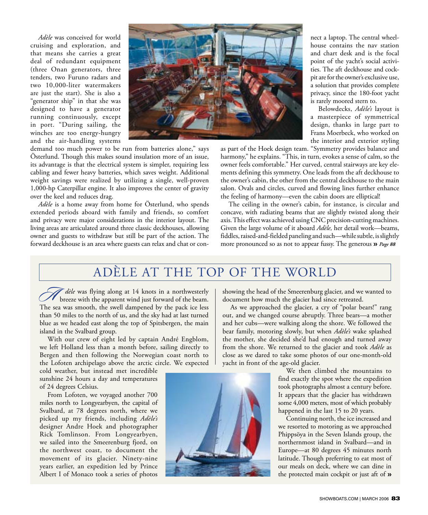*Adèle* was conceived for world cruising and exploration, and that means she carries a great deal of redundant equipment (three Onan generators, three tenders, two Furuno radars and two 10,000-liter watermakers are just the start). She is also a "generator ship" in that she was designed to have a generator running continuously, except in port. "During sailing, the winches are too energy-hungry and the air-handling systems



demand too much power to be run from batteries alone," says Österlund. Though this makes sound insulation more of an issue, its advantage is that the electrical system is simpler, requiring less cabling and fewer heavy batteries, which saves weight. Additional weight savings were realized by utilizing a single, well-proven 1,000-hp Caterpillar engine. It also improves the center of gravity over the keel and reduces drag.

*Adèle* is a home away from home for Österlund, who spends extended periods aboard with family and friends, so comfort and privacy were major considerations in the interior layout. The living areas are articulated around three classic deckhouses, allowing owner and guests to withdraw but still be part of the action. The forward deckhouse is an area where guests can relax and chat or con-

nect a laptop. The central wheelhouse contains the nav station and chart desk and is the focal point of the yacht's social activities. The aft deckhouse and cockpit are for the owner's exclusive use, a solution that provides complete privacy, since the 180-foot yacht is rarely moored stern to.

Belowdecks, *Adèle's* layout is a masterpiece of symmetrical design, thanks in large part to Frans Moerbeck, who worked on the interior and exterior styling

as part of the Hoek design team. "Symmetry provides balance and harmony," he explains. "This, in turn, evokes a sense of calm, so the owner feels comfortable." Her curved, central stairways are key elements defining this symmetry. One leads from the aft deckhouse to the owner's cabin, the other from the central deckhouse to the main salon. Ovals and circles, curved and flowing lines further enhance the feeling of harmony—even the cabin doors are elliptical!

The ceiling in the owner's cabin, for instance, is circular and concave, with radiating beams that are slightly twisted along their axis. This effect was achieved using CNC precision-cutting machines. Given the large volume of it aboard *Adèle,* her detail work—beams, fiddles, raised-and-fielded paneling and such—while subtle, is slightly more pronounced so as not to appear fussy. The generous **»** *Page 88* 

### Adèle at the Top of the World

*dèle* was flying along at 14 knots in a northwesterly We dele was flying along at 14 knots in a northwesterly breeze with the apparent wind just forward of the beam. The sea was smooth, the swell dampened by the pack ice less than 50 miles to the north of us, and the sky had at last turned blue as we headed east along the top of Spitsbergen, the main island in the Svalbard group.

With our crew of eight led by captain André Engblom, we left Holland less than a month before, sailing directly to Bergen and then following the Norwegian coast north to the Lofoten archipelago above the arctic circle. We expected

cold weather, but instead met incredible sunshine 24 hours a day and temperatures of 24 degrees Celsius.

From Lofoten, we voyaged another 700 miles north to Longyearbyen, the capital of Svalbard, at 78 degrees north, where we picked up my friends, including *Adèle's* designer Andre Hoek and photographer Rick Tomlinson. From Longyearbyen, we sailed into the Smeerenburg fjord, on the northwest coast, to document the movement of its glacier. Ninety-nine years earlier, an expedition led by Prince Albert I of Monaco took a series of photos



showing the head of the Smeerenburg glacier, and we wanted to document how much the glacier had since retreated.

As we approached the glacier, a cry of "polar bears!" rang out, and we changed course abruptly. Three bears—a mother and her cubs—were walking along the shore. We followed the bear family, motoring slowly, but when *Adèle's* wake splashed the mother, she decided she'd had enough and turned away from the shore. We returned to the glacier and took *Adèle* as close as we dared to take some photos of our one-month-old yacht in front of the age-old glacier.

> We then climbed the mountains to find exactly the spot where the expedition took photographs almost a century before. It appears that the glacier has withdrawn some 4,000 meters, most of which probably happened in the last 15 to 20 years.

> Continuing north, the ice increased and we resorted to motoring as we approached Phippsöya in the Seven Islands group, the northernmost island in Svalbard—and in Europe—at 80 degrees 45 minutes north latitude. Though preferring to eat most of our meals on deck, where we can dine in the protected main cockpit or just aft of **»**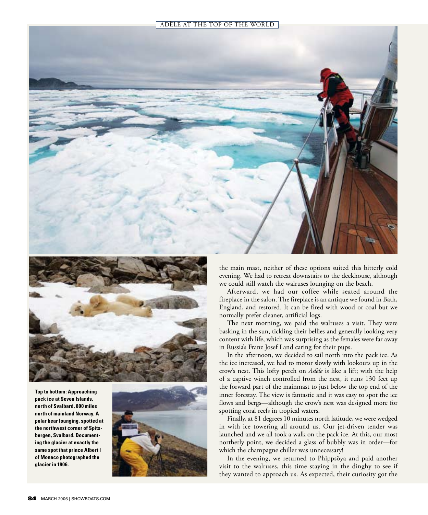



**Top to bottom: Approaching pack ice at Seven Islands, north of Svalbard, 800 miles north of mainland Norway. A polar bear lounging, spotted at the northwest corner of Spitsbergen, Svalbard. Documenting the glacier at exactly the same spot that prince Albert I of Monaco photographed the glacier in 1906.**



the main mast, neither of these options suited this bitterly cold evening. We had to retreat downstairs to the deckhouse, although we could still watch the walruses lounging on the beach.

Afterward, we had our coffee while seated around the fireplace in the salon. The fireplace is an antique we found in Bath, England, and restored. It can be fired with wood or coal but we normally prefer cleaner, artificial logs.

The next morning, we paid the walruses a visit. They were basking in the sun, tickling their bellies and generally looking very content with life, which was surprising as the females were far away in Russia's Franz Josef Land caring for their pups.

In the afternoon, we decided to sail north into the pack ice. As the ice increased, we had to motor slowly with lookouts up in the crow's nest. This lofty perch on *Adèle* is like a lift; with the help of a captive winch controlled from the nest, it runs 130 feet up the forward part of the mainmast to just below the top end of the inner forestay. The view is fantastic and it was easy to spot the ice flows and bergs—although the crow's nest was designed more for spotting coral reefs in tropical waters.

Finally, at 81 degrees 10 minutes north latitude, we were wedged in with ice towering all around us. Our jet-driven tender was launched and we all took a walk on the pack ice. At this, our most northerly point, we decided a glass of bubbly was in order—for which the champagne chiller was unnecessary!

In the evening, we returned to Phippsöya and paid another visit to the walruses, this time staying in the dinghy to see if they wanted to approach us. As expected, their curiosity got the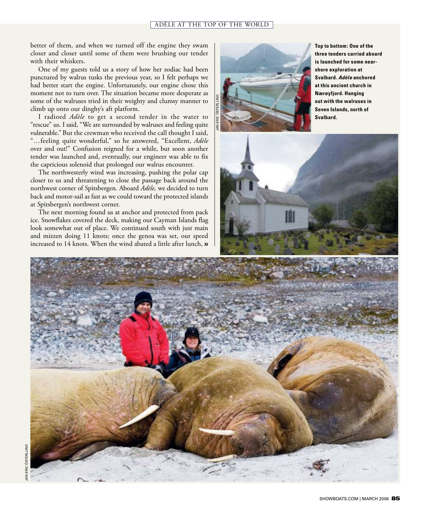#### Adèle at the Top of the World

better of them, and when we turned off the engine they swam closer and closer until some of them were brushing our tender with their whiskers.

One of my guests told us a story of how her zodiac had been punctured by walrus tusks the previous year, so I felt perhaps we had better start the engine. Unfortunately, our engine chose this moment not to turn over. The situation became more desperate as some of the walruses tried in their weighty and clumsy manner to climb up onto our dinghy's aft platform.

I radioed *Adèle* to get a second tender in the water to "rescue" us. I said, "We are surrounded by walruses and feeling quite vulnerable." But the crewman who received the call thought I said, "…feeling quite wonderful," so he answered, "Excellent, *Adèle* over and out!" Confusion reigned for a while, but soon another tender was launched and, eventually, our engineer was able to fix the capricious solenoid that prolonged our walrus encounter.

The northwesterly wind was increasing, pushing the polar cap closer to us and threatening to close the passage back around the northwest corner of Spitsbergen. Aboard *Adèle,* we decided to turn back and motor-sail as fast as we could toward the protected islands at Spitsbergen's northwest corner.

The next morning found us at anchor and protected from pack ice. Snowflakes covered the deck, making our Cayman Islands flag look somewhat out of place. We continued south with just main and mizzen doing 11 knots; once the genoa was set, our speed increased to 14 knots. When the wind abated a little after lunch, **»**



**Top to bottom: One of the three tenders carried aboard is launched for some nearshore exploration at Svalbard.** *Adèle* **anchored at this ancient church in Nærøyfjord. Hanging out with the walruses in Seven Islands, north of Svalbard.**



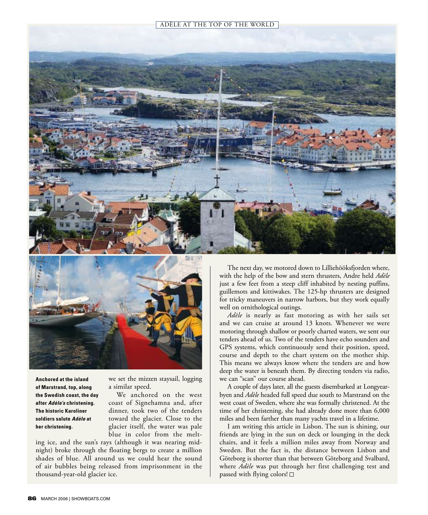Adèle at the Top of the World





**Anchored at the island of Marstrand, top, along the Swedish coast, the day after** *Adèle's* **christening. The historic Karoliner soldiers salute** *Adèle* **at her christening.** 

we set the mizzen staysail, logging a similar speed.

We anchored on the west coast of Signehamna and, after dinner, took two of the tenders toward the glacier. Close to the glacier itself, the water was pale blue in color from the melt-

ing ice, and the sun's rays (although it was nearing midnight) broke through the floating bergs to create a million shades of blue. All around us we could hear the sound of air bubbles being released from imprisonment in the thousand-year-old glacier ice.

The next day, we motored down to Lilliehööksfjorden where, with the help of the bow and stern thrusters, Andre held *Adèle* just a few feet from a steep cliff inhabited by nesting puffins, guillemots and kittiwakes. The 125-hp thrusters are designed for tricky maneuvers in narrow harbors, but they work equally well on ornithological outings.

*Adèle* is nearly as fast motoring as with her sails set and we can cruise at around 13 knots. Whenever we were motoring through shallow or poorly charted waters, we sent our tenders ahead of us. Two of the tenders have echo sounders and GPS systems, which continuously send their position, speed, course and depth to the chart system on the mother ship. This means we always know where the tenders are and how deep the water is beneath them. By directing tenders via radio, we can "scan" our course ahead.

A couple of days later, all the guests disembarked at Longyearbyen and *Adèle* headed full speed due south to Marstrand on the west coast of Sweden, where she was formally christened. At the time of her christening, she had already done more than 6,000 miles and been farther than many yachts travel in a lifetime.

I am writing this article in Lisbon. The sun is shining, our friends are lying in the sun on deck or lounging in the deck chairs, and it feels a million miles away from Norway and Sweden. But the fact is, the distance between Lisbon and Göteborg is shorter than that between Göteborg and Svalbard, where *Adèle* was put through her first challenging test and passed with flying colors!  $\square$